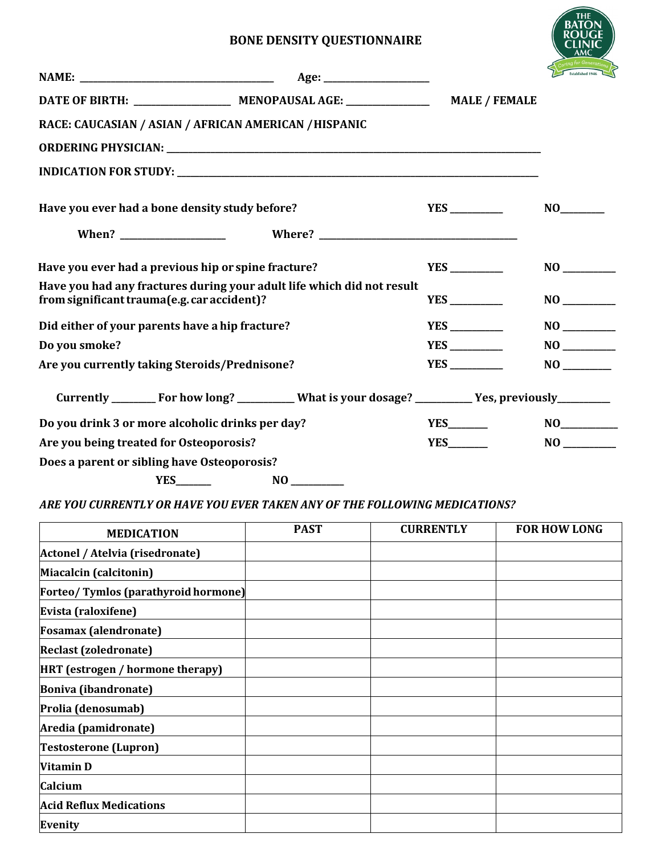## **BONE DENSITY QUESTIONNAIRE**

|                                                                                                                                                                                                                                                      | <b>MALE / FEMALE</b>                                                                               |                                                                                                                                                                                                                                                      |    |
|------------------------------------------------------------------------------------------------------------------------------------------------------------------------------------------------------------------------------------------------------|----------------------------------------------------------------------------------------------------|------------------------------------------------------------------------------------------------------------------------------------------------------------------------------------------------------------------------------------------------------|----|
| RACE: CAUCASIAN / ASIAN / AFRICAN AMERICAN / HISPANIC                                                                                                                                                                                                |                                                                                                    |                                                                                                                                                                                                                                                      |    |
|                                                                                                                                                                                                                                                      |                                                                                                    |                                                                                                                                                                                                                                                      |    |
|                                                                                                                                                                                                                                                      |                                                                                                    |                                                                                                                                                                                                                                                      |    |
| Have you ever had a bone density study before?                                                                                                                                                                                                       |                                                                                                    |                                                                                                                                                                                                                                                      |    |
|                                                                                                                                                                                                                                                      |                                                                                                    |                                                                                                                                                                                                                                                      |    |
| Have you ever had a previous hip or spine fracture?                                                                                                                                                                                                  |                                                                                                    |                                                                                                                                                                                                                                                      |    |
| Have you had any fractures during your adult life which did not result<br>from significant trauma(e.g. car accident)?                                                                                                                                |                                                                                                    |                                                                                                                                                                                                                                                      |    |
| Did either of your parents have a hip fracture?                                                                                                                                                                                                      |                                                                                                    |                                                                                                                                                                                                                                                      |    |
| Do you smoke?                                                                                                                                                                                                                                        |                                                                                                    |                                                                                                                                                                                                                                                      |    |
| Are you currently taking Steroids/Prednisone?                                                                                                                                                                                                        |                                                                                                    |                                                                                                                                                                                                                                                      |    |
|                                                                                                                                                                                                                                                      | Currently ________ For how long? _________ What is your dosage? _________ Yes, previously_________ |                                                                                                                                                                                                                                                      |    |
| Do you drink 3 or more alcoholic drinks per day?                                                                                                                                                                                                     |                                                                                                    | $YES$ and $T = 1$ and $T = 1$ and $T = 1$ and $T = 1$ and $T = 1$ and $T = 1$ and $T = 1$ and $T = 1$ and $T = 1$ and $T = 1$ and $T = 1$ and $T = 1$ and $T = 1$ and $T = 1$ and $T = 1$ and $T = 1$ and $T = 1$ and $T = 1$ and $T = 1$ and $T = $ | NO |
| Are you being treated for Osteoporosis?                                                                                                                                                                                                              |                                                                                                    | YES                                                                                                                                                                                                                                                  |    |
| Does a parent or sibling have Osteoporosis?                                                                                                                                                                                                          |                                                                                                    |                                                                                                                                                                                                                                                      |    |
| $YES$ and $T = 1$ and $T = 1$ and $T = 1$ and $T = 1$ and $T = 1$ and $T = 1$ and $T = 1$ and $T = 1$ and $T = 1$ and $T = 1$ and $T = 1$ and $T = 1$ and $T = 1$ and $T = 1$ and $T = 1$ and $T = 1$ and $T = 1$ and $T = 1$ and $T = 1$ and $T = $ |                                                                                                    |                                                                                                                                                                                                                                                      |    |

*ARE YOU CURRENTLY OR HAVE YOU EVER TAKEN ANY OF THE FOLLOWING MEDICATIONS?*

| <b>MEDICATION</b>                          | <b>PAST</b> | <b>CURRENTLY</b> | <b>FOR HOW LONG</b> |
|--------------------------------------------|-------------|------------------|---------------------|
| Actonel / Atelvia (risedronate)            |             |                  |                     |
| Miacalcin (calcitonin)                     |             |                  |                     |
| <b>Forteo/Tymlos (parathyroid hormone)</b> |             |                  |                     |
| Evista (raloxifene)                        |             |                  |                     |
| <b>Fosamax</b> (alendronate)               |             |                  |                     |
| <b>Reclast (zoledronate)</b>               |             |                  |                     |
| HRT (estrogen / hormone therapy)           |             |                  |                     |
| <b>Boniva (ibandronate)</b>                |             |                  |                     |
| Prolia (denosumab)                         |             |                  |                     |
| Aredia (pamidronate)                       |             |                  |                     |
| <b>Testosterone (Lupron)</b>               |             |                  |                     |
| <b>Vitamin D</b>                           |             |                  |                     |
| Calcium                                    |             |                  |                     |
| <b>Acid Reflux Medications</b>             |             |                  |                     |
| Evenity                                    |             |                  |                     |